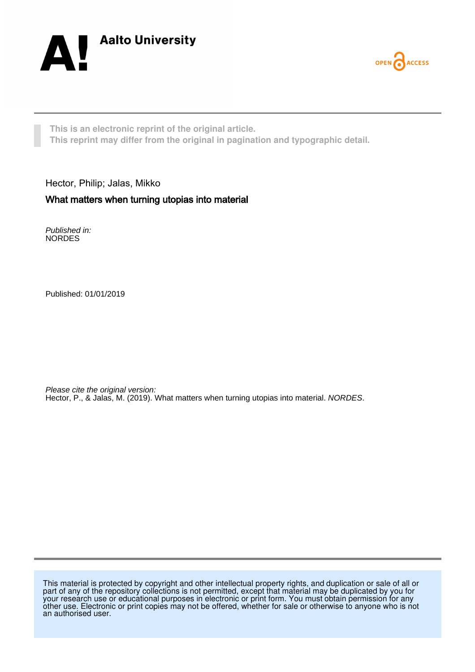



**This is an electronic reprint of the original article. This reprint may differ from the original in pagination and typographic detail.**

Hector, Philip; Jalas, Mikko What matters when turning utopias into material

Published in: NORDES

Published: 01/01/2019

Please cite the original version: Hector, P., & Jalas, M. (2019). What matters when turning utopias into material. NORDES.

This material is protected by copyright and other intellectual property rights, and duplication or sale of all or part of any of the repository collections is not permitted, except that material may be duplicated by you for your research use or educational purposes in electronic or print form. You must obtain permission for any other use. Electronic or print copies may not be offered, whether for sale or otherwise to anyone who is not an authorised user.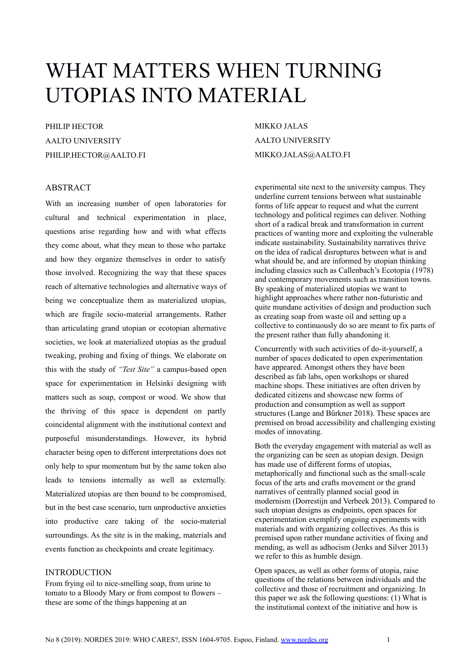# WHAT MATTERS WHEN TURNING UTOPIAS INTO MATERIAL

# PHILIP HECTOR AALTO UNIVERSITY PHILIP.HECTOR@AALTO.FI

# ABSTRACT

With an increasing number of open laboratories for cultural and technical experimentation in place, questions arise regarding how and with what effects they come about, what they mean to those who partake and how they organize themselves in order to satisfy those involved. Recognizing the way that these spaces reach of alternative technologies and alternative ways of being we conceptualize them as materialized utopias, which are fragile socio-material arrangements. Rather than articulating grand utopian or ecotopian alternative societies, we look at materialized utopias as the gradual tweaking, probing and fixing of things. We elaborate on this with the study of *"Test Site"* a campus-based open space for experimentation in Helsinki designing with matters such as soap, compost or wood. We show that the thriving of this space is dependent on partly coincidental alignment with the institutional context and purposeful misunderstandings. However, its hybrid character being open to different interpretations does not only help to spur momentum but by the same token also leads to tensions internally as well as externally. Materialized utopias are then bound to be compromised, but in the best case scenario, turn unproductive anxieties into productive care taking of the socio-material surroundings. As the site is in the making, materials and events function as checkpoints and create legitimacy.

# INTRODUCTION

From frying oil to nice-smelling soap, from urine to tomato to a Bloody Mary or from compost to flowers – these are some of the things happening at an

MIKKO JALAS AALTO UNIVERSITY MIKKO.JALAS@AALTO.FI

experimental site next to the university campus. They underline current tensions between what sustainable forms of life appear to request and what the current technology and political regimes can deliver. Nothing short of a radical break and transformation in current practices of wanting more and exploiting the vulnerable indicate sustainability. Sustainability narratives thrive on the idea of radical disruptures between what is and what should be, and are informed by utopian thinking including classics such as Callenbach's Ecotopia (1978) and contemporary movements such as transition towns. By speaking of materialized utopias we want to highlight approaches where rather non-futuristic and quite mundane activities of design and production such as creating soap from waste oil and setting up a collective to continuously do so are meant to fix parts of the present rather than fully abandoning it.

Concurrently with such activities of do-it-yourself, a number of spaces dedicated to open experimentation have appeared. Amongst others they have been described as fab labs, open workshops or shared machine shops. These initiatives are often driven by dedicated citizens and showcase new forms of production and consumption as well as support structures (Lange and Bürkner 2018). These spaces are premised on broad accessibility and challenging existing modes of innovating.

Both the everyday engagement with material as well as the organizing can be seen as utopian design. Design has made use of different forms of utopias, metaphorically and functional such as the small-scale focus of the arts and crafts movement or the grand narratives of centrally planned social good in modernism (Dorrestijn and Verbeek 2013). Compared to such utopian designs as endpoints, open spaces for experimentation exemplify ongoing experiments with materials and with organizing collectives. As this is premised upon rather mundane activities of fixing and mending, as well as adhocism (Jenks and Silver 2013) we refer to this as humble design.

Open spaces, as well as other forms of utopia, raise questions of the relations between individuals and the collective and those of recruitment and organizing. In this paper we ask the following questions: (1) What is the institutional context of the initiative and how is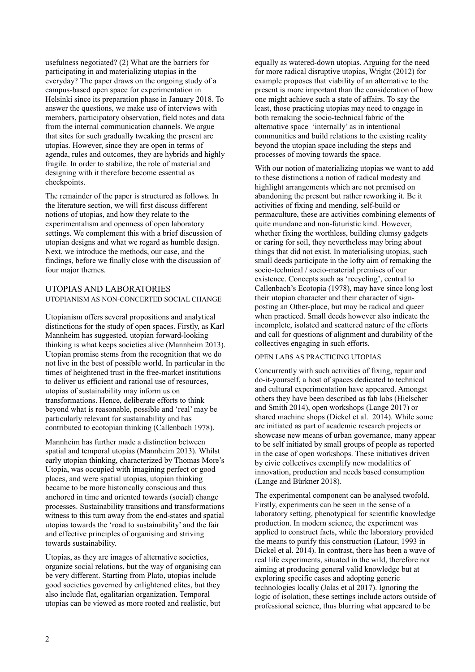usefulness negotiated? (2) What are the barriers for participating in and materializing utopias in the everyday? The paper draws on the ongoing study of a campus-based open space for experimentation in Helsinki since its preparation phase in January 2018. To answer the questions, we make use of interviews with members, participatory observation, field notes and data from the internal communication channels. We argue that sites for such gradually tweaking the present are utopias. However, since they are open in terms of agenda, rules and outcomes, they are hybrids and highly fragile. In order to stabilize, the role of material and designing with it therefore become essential as checkpoints.

The remainder of the paper is structured as follows. In the literature section, we will first discuss different notions of utopias, and how they relate to the experimentalism and openness of open laboratory settings. We complement this with a brief discussion of utopian designs and what we regard as humble design. Next, we introduce the methods, our case, and the findings, before we finally close with the discussion of four major themes.

# UTOPIAS AND LABORATORIES

## UTOPIANISM AS NON-CONCERTED SOCIAL CHANGE

Utopianism offers several propositions and analytical distinctions for the study of open spaces. Firstly, as Karl Mannheim has suggested, utopian forward-looking thinking is what keeps societies alive (Mannheim 2013). Utopian promise stems from the recognition that we do not live in the best of possible world. In particular in the times of heightened trust in the free-market institutions to deliver us efficient and rational use of resources, utopias of sustainability may inform us on transformations. Hence, deliberate efforts to think beyond what is reasonable, possible and 'real' may be particularly relevant for sustainability and has contributed to ecotopian thinking (Callenbach 1978).

Mannheim has further made a distinction between spatial and temporal utopias (Mannheim 2013). Whilst early utopian thinking, characterized by Thomas More's Utopia, was occupied with imagining perfect or good places, and were spatial utopias, utopian thinking became to be more historically conscious and thus anchored in time and oriented towards (social) change processes. Sustainability transitions and transformations witness to this turn away from the end-states and spatial utopias towards the 'road to sustainability' and the fair and effective principles of organising and striving towards sustainability.

Utopias, as they are images of alternative societies, organize social relations, but the way of organising can be very different. Starting from Plato, utopias include good societies governed by enlightened elites, but they also include flat, egalitarian organization. Temporal utopias can be viewed as more rooted and realistic, but

equally as watered-down utopias. Arguing for the need for more radical disruptive utopias, Wright (2012) for example proposes that viability of an alternative to the present is more important than the consideration of how one might achieve such a state of affairs. To say the least, those practicing utopias may need to engage in both remaking the socio-technical fabric of the alternative space 'internally' as in intentional communities and build relations to the existing reality beyond the utopian space including the steps and processes of moving towards the space.

With our notion of materializing utopias we want to add to these distinctions a notion of radical modesty and highlight arrangements which are not premised on abandoning the present but rather reworking it. Be it activities of fixing and mending, self-build or permaculture, these are activities combining elements of quite mundane and non-futuristic kind. However, whether fixing the worthless, building clumsy gadgets or caring for soil, they nevertheless may bring about things that did not exist. In materialising utopias, such small deeds participate in the lofty aim of remaking the socio-technical / socio-material premises of our existence. Concepts such as 'recycling', central to Callenbach's Ecotopia (1978), may have since long lost their utopian character and their character of signposting an Other-place, but may be radical and queer when practiced. Small deeds however also indicate the incomplete, isolated and scattered nature of the efforts and call for questions of alignment and durability of the collectives engaging in such efforts.

#### OPEN LABS AS PRACTICING UTOPIAS

Concurrently with such activities of fixing, repair and do-it-yourself, a host of spaces dedicated to technical and cultural experimentation have appeared. Amongst others they have been described as fab labs (Hielscher and Smith 2014), open workshops (Lange 2017) or shared machine shops (Dickel et al. 2014). While some are initiated as part of academic research projects or showcase new means of urban governance, many appear to be self initiated by small groups of people as reported in the case of open workshops. These initiatives driven by civic collectives exemplify new modalities of innovation, production and needs based consumption (Lange and Bürkner 2018).

The experimental component can be analysed twofold. Firstly, experiments can be seen in the sense of a laboratory setting, phenotypical for scientific knowledge production. In modern science, the experiment was applied to construct facts, while the laboratory provided the means to purify this construction (Latour, 1993 in Dickel et al. 2014). In contrast, there has been a wave of real life experiments, situated in the wild, therefore not aiming at producing general valid knowledge but at exploring specific cases and adopting generic technologies locally (Jalas et al 2017). Ignoring the logic of isolation, these settings include actors outside of professional science, thus blurring what appeared to be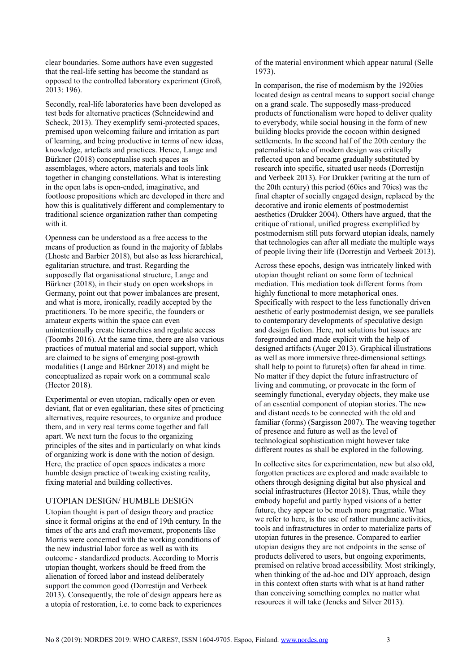clear boundaries. Some authors have even suggested that the real-life setting has become the standard as opposed to the controlled laboratory experiment (Groß, 2013: 196).

Secondly, real-life laboratories have been developed as test beds for alternative practices (Schneidewind and Scheck, 2013). They exemplify semi-protected spaces, premised upon welcoming failure and irritation as part of learning, and being productive in terms of new ideas, knowledge, artefacts and practices. Hence, Lange and Bürkner (2018) conceptualise such spaces as assemblages, where actors, materials and tools link together in changing constellations. What is interesting in the open labs is open-ended, imaginative, and footloose propositions which are developed in there and how this is qualitatively different and complementary to traditional science organization rather than competing with it.

Openness can be understood as a free access to the means of production as found in the majority of fablabs (Lhoste and Barbier 2018), but also as less hierarchical, egalitarian structure, and trust. Regarding the supposedly flat organisational structure, Lange and Bürkner (2018), in their study on open workshops in Germany, point out that power imbalances are present, and what is more, ironically, readily accepted by the practitioners. To be more specific, the founders or amateur experts within the space can even unintentionally create hierarchies and regulate access (Toombs 2016). At the same time, there are also various practices of mutual material and social support, which are claimed to be signs of emerging post-growth modalities (Lange and Bürkner 2018) and might be conceptualized as repair work on a communal scale (Hector 2018).

Experimental or even utopian, radically open or even deviant, flat or even egalitarian, these sites of practicing alternatives, require resources, to organize and produce them, and in very real terms come together and fall apart. We next turn the focus to the organizing principles of the sites and in particularly on what kinds of organizing work is done with the notion of design. Here, the practice of open spaces indicates a more humble design practice of tweaking existing reality, fixing material and building collectives.

#### UTOPIAN DESIGN/ HUMBLE DESIGN

Utopian thought is part of design theory and practice since it formal origins at the end of 19th century. In the times of the arts and craft movement, proponents like Morris were concerned with the working conditions of the new industrial labor force as well as with its outcome - standardized products. According to Morris utopian thought, workers should be freed from the alienation of forced labor and instead deliberately support the common good (Dorrestijn and Verbeek 2013). Consequently, the role of design appears here as a utopia of restoration, i.e. to come back to experiences of the material environment which appear natural (Selle 1973).

In comparison, the rise of modernism by the 1920ies located design as central means to support social change on a grand scale. The supposedly mass-produced products of functionalism were hoped to deliver quality to everybody, while social housing in the form of new building blocks provide the cocoon within designed settlements. In the second half of the 20th century the paternalistic take of modern design was critically reflected upon and became gradually substituted by research into specific, situated user needs (Dorrestijn and Verbeek 2013). For Drukker (writing at the turn of the 20th century) this period (60ies and 70ies) was the final chapter of socially engaged design, replaced by the decorative and ironic elements of postmodernist aesthetics (Drukker 2004). Others have argued, that the critique of rational, unified progress exemplified by postmodernism still puts forward utopian ideals, namely that technologies can after all mediate the multiple ways of people living their life (Dorrestijn and Verbeek 2013).

Across these epochs, design was intricately linked with utopian thought reliant on some form of technical mediation. This mediation took different forms from highly functional to more metaphorical ones. Specifically with respect to the less functionally driven aesthetic of early postmodernist design, we see parallels to contemporary developments of speculative design and design fiction. Here, not solutions but issues are foregrounded and made explicit with the help of designed artifacts (Auger 2013). Graphical illustrations as well as more immersive three-dimensional settings shall help to point to future(s) often far ahead in time. No matter if they depict the future infrastructure of living and commuting, or provocate in the form of seemingly functional, everyday objects, they make use of an essential component of utopian stories. The new and distant needs to be connected with the old and familiar (forms) (Sargisson 2007). The weaving together of presence and future as well as the level of technological sophistication might however take different routes as shall be explored in the following.

In collective sites for experimentation, new but also old, forgotten practices are explored and made available to others through designing digital but also physical and social infrastructures (Hector 2018). Thus, while they embody hopeful and partly hyped visions of a better future, they appear to be much more pragmatic. What we refer to here, is the use of rather mundane activities, tools and infrastructures in order to materialize parts of utopian futures in the presence. Compared to earlier utopian designs they are not endpoints in the sense of products delivered to users, but ongoing experiments, premised on relative broad accessibility. Most strikingly, when thinking of the ad-hoc and DIY approach, design in this context often starts with what is at hand rather than conceiving something complex no matter what resources it will take (Jencks and Silver 2013).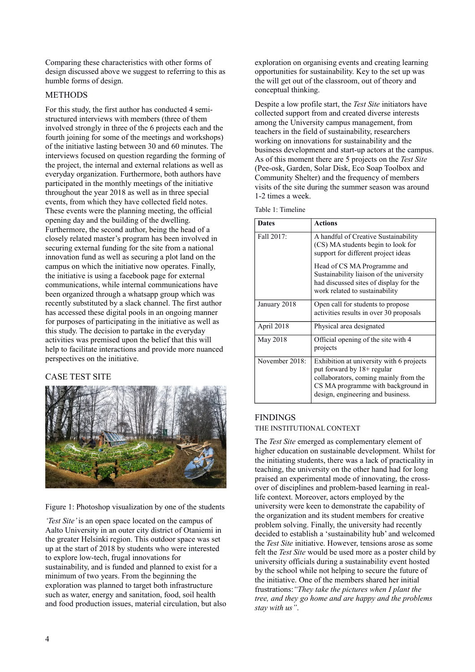Comparing these characteristics with other forms of design discussed above we suggest to referring to this as humble forms of design.

# **METHODS**

For this study, the first author has conducted 4 semistructured interviews with members (three of them involved strongly in three of the 6 projects each and the fourth joining for some of the meetings and workshops) of the initiative lasting between 30 and 60 minutes. The interviews focused on question regarding the forming of the project, the internal and external relations as well as everyday organization. Furthermore, both authors have participated in the monthly meetings of the initiative throughout the year 2018 as well as in three special events, from which they have collected field notes. These events were the planning meeting, the official opening day and the building of the dwelling. Furthermore, the second author, being the head of a closely related master's program has been involved in securing external funding for the site from a national innovation fund as well as securing a plot land on the campus on which the initiative now operates. Finally, the initiative is using a facebook page for external communications, while internal communications have been organized through a whatsapp group which was recently substituted by a slack channel. The first author has accessed these digital pools in an ongoing manner for purposes of participating in the initiative as well as this study. The decision to partake in the everyday activities was premised upon the belief that this will help to facilitate interactions and provide more nuanced perspectives on the initiative.

# CASE TEST SITE



Figure 1: Photoshop visualization by one of the students

*'Test Site'* is an open space located on the campus of Aalto University in an outer city district of Otaniemi in the greater Helsinki region. This outdoor space was set up at the start of 2018 by students who were interested to explore low-tech, frugal innovations for sustainability, and is funded and planned to exist for a minimum of two years. From the beginning the exploration was planned to target both infrastructure such as water, energy and sanitation, food, soil health and food production issues, material circulation, but also

exploration on organising events and creating learning opportunities for sustainability. Key to the set up was the will get out of the classroom, out of theory and conceptual thinking.

Despite a low profile start, the *Test Site* initiators have collected support from and created diverse interests among the University campus management, from teachers in the field of sustainability, researchers working on innovations for sustainability and the business development and start-up actors at the campus. As of this moment there are 5 projects on the *Test Site*  (Pee-osk, Garden, Solar Disk, Eco Soap Toolbox and Community Shelter) and the frequency of members visits of the site during the summer season was around 1-2 times a week.

Table 1: Timeline

| <b>Dates</b>   | <b>Actions</b>                                                                                                                                                                             |
|----------------|--------------------------------------------------------------------------------------------------------------------------------------------------------------------------------------------|
| Fall 2017:     | A handful of Creative Sustainability<br>(CS) MA students begin to look for<br>support for different project ideas                                                                          |
|                | Head of CS MA Programme and<br>Sustainability liaison of the university<br>had discussed sites of display for the<br>work related to sustainability                                        |
| January 2018   | Open call for students to propose<br>activities results in over 30 proposals                                                                                                               |
| April 2018     | Physical area designated                                                                                                                                                                   |
| May 2018       | Official opening of the site with 4<br>projects                                                                                                                                            |
| November 2018: | Exhibition at university with 6 projects<br>put forward by 18+ regular<br>collaborators, coming mainly from the<br>CS MA programme with background in<br>design, engineering and business. |

# **FINDINGS**

#### THE INSTITUTIONAL CONTEXT

The *Test Site* emerged as complementary element of higher education on sustainable development. Whilst for the initiating students, there was a lack of practicality in teaching, the university on the other hand had for long praised an experimental mode of innovating, the crossover of disciplines and problem-based learning in reallife context. Moreover, actors employed by the university were keen to demonstrate the capability of the organization and its student members for creative problem solving. Finally, the university had recently decided to establish a 'sustainability hub' and welcomed the *Test Site* initiative. However, tensions arose as some felt the *Test Site* would be used more as a poster child by university officials during a sustainability event hosted by the school while not helping to secure the future of the initiative. One of the members shared her initial frustrations:*"They take the pictures when I plant the tree, and they go home and are happy and the problems stay with us"*.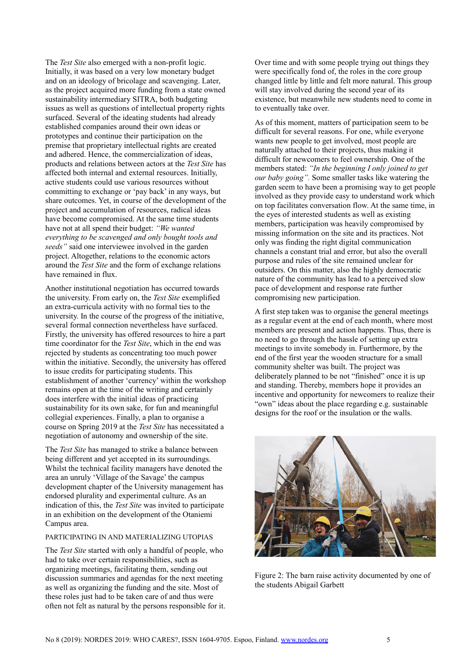The *Test Site* also emerged with a non-profit logic. Initially, it was based on a very low monetary budget and on an ideology of bricolage and scavenging. Later, as the project acquired more funding from a state owned sustainability intermediary SITRA, both budgeting issues as well as questions of intellectual property rights surfaced. Several of the ideating students had already established companies around their own ideas or prototypes and continue their participation on the premise that proprietary intellectual rights are created and adhered. Hence, the commercialization of ideas, products and relations between actors at the *Test Site* has affected both internal and external resources. Initially, active students could use various resources without committing to exchange or 'pay back' in any ways, but share outcomes. Yet, in course of the development of the project and accumulation of resources, radical ideas have become compromised. At the same time students have not at all spend their budget: *"We wanted everything to be scavenged and only bought tools and seeds"* said one interviewee involved in the garden project. Altogether, relations to the economic actors around the *Test Site* and the form of exchange relations have remained in flux.

Another institutional negotiation has occurred towards the university. From early on, the *Test Site* exemplified an extra-curricula activity with no formal ties to the university. In the course of the progress of the initiative, several formal connection nevertheless have surfaced. Firstly, the university has offered resources to hire a part time coordinator for the *Test Site*, which in the end was rejected by students as concentrating too much power within the initiative. Secondly, the university has offered to issue credits for participating students. This establishment of another 'currency' within the workshop remains open at the time of the writing and certainly does interfere with the initial ideas of practicing sustainability for its own sake, for fun and meaningful collegial experiences. Finally, a plan to organise a course on Spring 2019 at the *Test Site* has necessitated a negotiation of autonomy and ownership of the site.

The *Test Site* has managed to strike a balance between being different and yet accepted in its surroundings. Whilst the technical facility managers have denoted the area an unruly 'Village of the Savage' the campus development chapter of the University management has endorsed plurality and experimental culture. As an indication of this, the *Test Site* was invited to participate in an exhibition on the development of the Otaniemi Campus area.

# PARTICIPATING IN AND MATERIALIZING UTOPIAS

The *Test Site* started with only a handful of people, who had to take over certain responsibilities, such as organizing meetings, facilitating them, sending out discussion summaries and agendas for the next meeting as well as organizing the funding and the site. Most of these roles just had to be taken care of and thus were often not felt as natural by the persons responsible for it. Over time and with some people trying out things they were specifically fond of, the roles in the core group changed little by little and felt more natural. This group will stay involved during the second year of its existence, but meanwhile new students need to come in to eventually take over.

As of this moment, matters of participation seem to be difficult for several reasons. For one, while everyone wants new people to get involved, most people are naturally attached to their projects, thus making it difficult for newcomers to feel ownership. One of the members stated: *"In the beginning I only joined to get our baby going".* Some smaller tasks like watering the garden seem to have been a promising way to get people involved as they provide easy to understand work which on top facilitates conversation flow. At the same time, in the eyes of interested students as well as existing members, participation was heavily compromised by missing information on the site and its practices. Not only was finding the right digital communication channels a constant trial and error, but also the overall purpose and rules of the site remained unclear for outsiders. On this matter, also the highly democratic nature of the community has lead to a perceived slow pace of development and response rate further compromising new participation.

A first step taken was to organise the general meetings as a regular event at the end of each month, where most members are present and action happens. Thus, there is no need to go through the hassle of setting up extra meetings to invite somebody in. Furthermore, by the end of the first year the wooden structure for a small community shelter was built. The project was deliberately planned to be not "finished" once it is up and standing. Thereby, members hope it provides an incentive and opportunity for newcomers to realize their "own" ideas about the place regarding e.g. sustainable designs for the roof or the insulation or the walls.



Figure 2: The barn raise activity documented by one of the students Abigail Garbett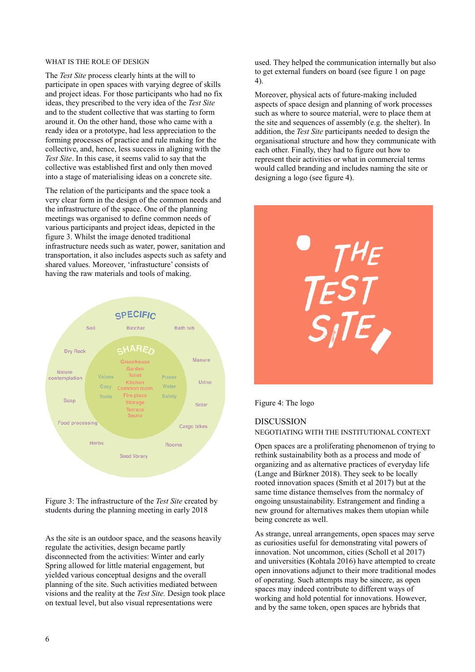# WHAT IS THE ROLE OF DESIGN

The *Test Site* process clearly hints at the will to participate in open spaces with varying degree of skills and project ideas. For those participants who had no fix ideas, they prescribed to the very idea of the *Test Site* and to the student collective that was starting to form around it. On the other hand, those who came with a ready idea or a prototype, had less appreciation to the forming processes of practice and rule making for the collective, and, hence, less success in aligning with the *Test Site*. In this case, it seems valid to say that the collective was established first and only then moved into a stage of materialising ideas on a concrete site.

The relation of the participants and the space took a very clear form in the design of the common needs and the infrastructure of the space. One of the planning meetings was organised to define common needs of various participants and project ideas, depicted in the figure 3. Whilst the image denoted traditional infrastructure needs such as water, power, sanitation and transportation, it also includes aspects such as safety and shared values. Moreover, 'infrastucture' consists of having the raw materials and tools of making.



Figure 3: The infrastructure of the *Test Site* created by students during the planning meeting in early 2018

As the site is an outdoor space, and the seasons heavily regulate the activities, design became partly disconnected from the activities: Winter and early Spring allowed for little material engagement, but yielded various conceptual designs and the overall planning of the site. Such activities mediated between visions and the reality at the *Test Site.* Design took place on textual level, but also visual representations were

used. They helped the communication internally but also to get external funders on board (see figure 1 on page 4).

Moreover, physical acts of future-making included aspects of space design and planning of work processes such as where to source material, were to place them at the site and sequences of assembly (e.g. the shelter). In addition, the *Test Site* participants needed to design the organisational structure and how they communicate with each other. Finally, they had to figure out how to represent their activities or what in commercial terms would called branding and includes naming the site or designing a logo (see figure 4).



Figure 4: The logo

# DISCUSSION

NEGOTIATING WITH THE INSTITUTIONAL CONTEXT

Open spaces are a proliferating phenomenon of trying to rethink sustainability both as a process and mode of organizing and as alternative practices of everyday life (Lange and Bürkner 2018). They seek to be locally rooted innovation spaces (Smith et al 2017) but at the same time distance themselves from the normalcy of ongoing unsustainability. Estrangement and finding a new ground for alternatives makes them utopian while being concrete as well.

As strange, unreal arrangements, open spaces may serve as curiosities useful for demonstrating vital powers of innovation. Not uncommon, cities (Scholl et al 2017) and universities (Kohtala 2016) have attempted to create open innovations adjunct to their more traditional modes of operating. Such attempts may be sincere, as open spaces may indeed contribute to different ways of working and hold potential for innovations. However, and by the same token, open spaces are hybrids that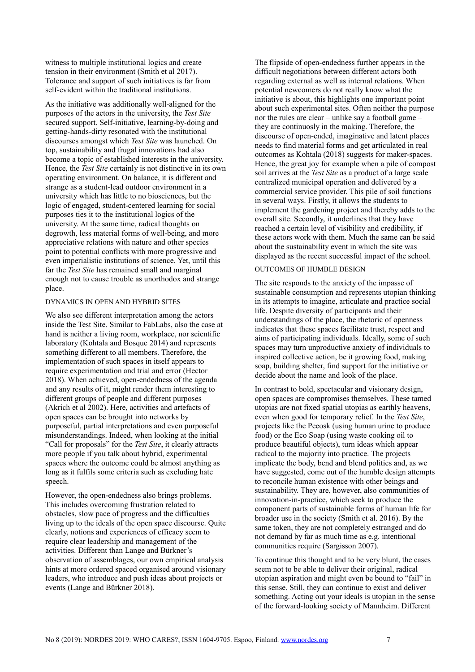witness to multiple institutional logics and create tension in their environment (Smith et al 2017). Tolerance and support of such initiatives is far from self-evident within the traditional institutions.

As the initiative was additionally well-aligned for the purposes of the actors in the university, the *Test Site* secured support. Self-initiative, learning-by-doing and getting-hands-dirty resonated with the institutional discourses amongst which *Test Site* was launched. On top, sustainability and frugal innovations had also become a topic of established interests in the university. Hence, the *Test Site* certainly is not distinctive in its own operating environment. On balance, it is different and strange as a student-lead outdoor environment in a university which has little to no biosciences, but the logic of engaged, student-centered learning for social purposes ties it to the institutional logics of the university. At the same time, radical thoughts on degrowth, less material forms of well-being, and more appreciative relations with nature and other species point to potential conflicts with more progressive and even imperialistic institutions of science. Yet, until this far the *Test Site* has remained small and marginal enough not to cause trouble as unorthodox and strange place.

### DYNAMICS IN OPEN AND HYBRID SITES

We also see different interpretation among the actors inside the Test Site. Similar to FabLabs, also the case at hand is neither a living room, workplace, nor scientific laboratory (Kohtala and Bosque 2014) and represents something different to all members. Therefore, the implementation of such spaces in itself appears to require experimentation and trial and error (Hector 2018). When achieved, open-endedness of the agenda and any results of it, might render them interesting to different groups of people and different purposes (Akrich et al 2002). Here, activities and artefacts of open spaces can be brought into networks by purposeful, partial interpretations and even purposeful misunderstandings. Indeed, when looking at the initial "Call for proposals" for the *Test Site*, it clearly attracts more people if you talk about hybrid, experimental spaces where the outcome could be almost anything as long as it fulfils some criteria such as excluding hate speech.

However, the open-endedness also brings problems. This includes overcoming frustration related to obstacles, slow pace of progress and the difficulties living up to the ideals of the open space discourse. Quite clearly, notions and experiences of efficacy seem to require clear leadership and management of the activities. Different than Lange and Bürkner's observation of assemblages, our own empirical analysis hints at more ordered spaced organised around visionary leaders, who introduce and push ideas about projects or events (Lange and Bürkner 2018).

The flipside of open-endedness further appears in the difficult negotiations between different actors both regarding external as well as internal relations. When potential newcomers do not really know what the initiative is about, this highlights one important point about such experimental sites. Often neither the purpose nor the rules are clear – unlike say a football game – they are continuosly in the making. Therefore, the discourse of open-ended, imaginative and latent places needs to find material forms and get articulated in real outcomes as Kohtala (2018) suggests for maker-spaces. Hence, the great joy for example when a pile of compost soil arrives at the *Test Site* as a product of a large scale centralized municipal operation and delivered by a commercial service provider. This pile of soil functions in several ways. Firstly, it allows the students to implement the gardening project and thereby adds to the overall site. Secondly, it underlines that they have reached a certain level of visibility and credibility, if these actors work with them. Much the same can be said about the sustainability event in which the site was displayed as the recent successful impact of the school.

### OUTCOMES OF HUMBLE DESIGN

The site responds to the anxiety of the impasse of sustainable consumption and represents utopian thinking in its attempts to imagine, articulate and practice social life. Despite diversity of participants and their understandings of the place, the rhetoric of openness indicates that these spaces facilitate trust, respect and aims of participating individuals. Ideally, some of such spaces may turn unproductive anxiety of individuals to inspired collective action, be it growing food, making soap, building shelter, find support for the initiative or decide about the name and look of the place.

In contrast to bold, spectacular and visionary design, open spaces are compromises themselves. These tamed utopias are not fixed spatial utopias as earthly heavens, even when good for temporary relief. In the *Test Site*, projects like the Peeosk (using human urine to produce food) or the Eco Soap (using waste cooking oil to produce beautiful objects), turn ideas which appear radical to the majority into practice. The projects implicate the body, bend and blend politics and, as we have suggested, come out of the humble design attempts to reconcile human existence with other beings and sustainability. They are, however, also communities of innovation-in-practice, which seek to produce the component parts of sustainable forms of human life for broader use in the society (Smith et al. 2016). By the same token, they are not completely estranged and do not demand by far as much time as e.g. intentional communities require (Sargisson 2007).

To continue this thought and to be very blunt, the cases seem not to be able to deliver their original, radical utopian aspiration and might even be bound to "fail" in this sense. Still, they can continue to exist and deliver something. Acting out your ideals is utopian in the sense of the forward-looking society of Mannheim. Different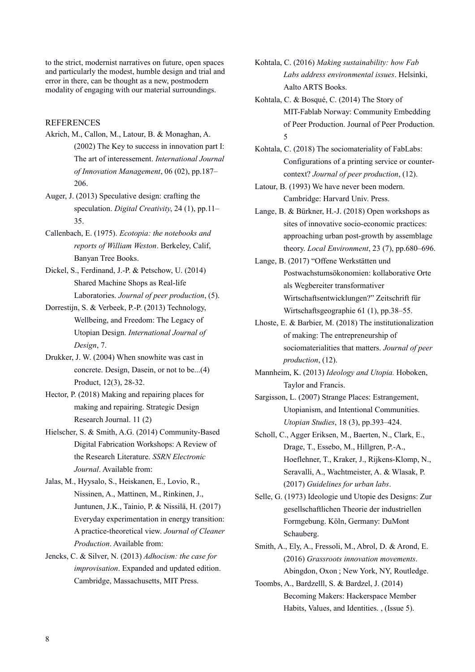to the strict, modernist narratives on future, open spaces and particularly the modest, humble design and trial and error in there, can be thought as a new, postmodern modality of engaging with our material surroundings.

### **REFERENCES**

- Akrich, M., Callon, M., Latour, B. & Monaghan, A. (2002) The Key to success in innovation part I: The art of interessement. *International Journal of Innovation Management*, 06 (02), pp.187– 206.
- Auger, J. (2013) Speculative design: crafting the speculation. *Digital Creativity*, 24 (1), pp.11– 35.
- Callenbach, E. (1975). *Ecotopia: the notebooks and reports of William Weston*. Berkeley, Calif, Banyan Tree Books.
- Dickel, S., Ferdinand, J.-P. & Petschow, U. (2014) Shared Machine Shops as Real-life Laboratories. *Journal of peer production*, (5).
- Dorrestijn, S. & Verbeek, P.-P. (2013) Technology, Wellbeing, and Freedom: The Legacy of Utopian Design. *International Journal of Design*, 7.
- Drukker, J. W. (2004) When snowhite was cast in concrete. Design, Dasein, or not to be...(4) Product, 12(3), 28-32.
- Hector, P. (2018) Making and repairing places for making and repairing. Strategic Design Research Journal. 11 (2)
- Hielscher, S. & Smith, A.G. (2014) Community-Based Digital Fabrication Workshops: A Review of the Research Literature. *SSRN Electronic Journal*. Available from:
- Jalas, M., Hyysalo, S., Heiskanen, E., Lovio, R., Nissinen, A., Mattinen, M., Rinkinen, J., Juntunen, J.K., Tainio, P. & Nissilä, H. (2017) Everyday experimentation in energy transition: A practice-theoretical view. *Journal of Cleaner Production*. Available from:
- Jencks, C. & Silver, N. (2013) *Adhocism: the case for improvisation*. Expanded and updated edition. Cambridge, Massachusetts, MIT Press.
- Kohtala, C. (2016) *Making sustainability: how Fab Labs address environmental issues*. Helsinki, Aalto ARTS Books.
- Kohtala, C. & Bosqué, C. (2014) The Story of MIT-Fablab Norway: Community Embedding of Peer Production. Journal of Peer Production. 5
- Kohtala, C. (2018) The sociomateriality of FabLabs: Configurations of a printing service or countercontext? *Journal of peer production*, (12).
- Latour, B. (1993) We have never been modern. Cambridge: Harvard Univ. Press.
- Lange, B. & Bürkner, H.-J. (2018) Open workshops as sites of innovative socio-economic practices: approaching urban post-growth by assemblage theory. *Local Environment*, 23 (7), pp.680–696.
- Lange, B. (2017) "Offene Werkstätten und Postwachstumsökonomien: kollaborative Orte als Wegbereiter transformativer Wirtschaftsentwicklungen?" Zeitschrift für Wirtschaftsgeographie 61 (1), pp.38–55.
- Lhoste, E. & Barbier, M. (2018) The institutionalization of making: The entrepreneurship of sociomaterialities that matters. *Journal of peer production*, (12).
- Mannheim, K. (2013) *Ideology and Utopia.* Hoboken, Taylor and Francis.
- Sargisson, L. (2007) Strange Places: Estrangement, Utopianism, and Intentional Communities. *Utopian Studies*, 18 (3), pp.393–424.
- Scholl, C., Agger Eriksen, M., Baerten, N., Clark, E., Drage, T., Essebo, M., Hillgren, P.-A., Hoeflehner, T., Kraker, J., Rijkens-Klomp, N., Seravalli, A., Wachtmeister, A. & Wlasak, P. (2017) *Guidelines for urban labs*.
- Selle, G. (1973) Ideologie und Utopie des Designs: Zur gesellschaftlichen Theorie der industriellen Formgebung. Köln, Germany: DuMont Schauberg.
- Smith, A., Ely, A., Fressoli, M., Abrol, D. & Arond, E. (2016) *Grassroots innovation movements*. Abingdon, Oxon ; New York, NY, Routledge.
- Toombs, A., Bardzelll, S. & Bardzel, J. (2014) Becoming Makers: Hackerspace Member Habits, Values, and Identities. , (Issue 5).